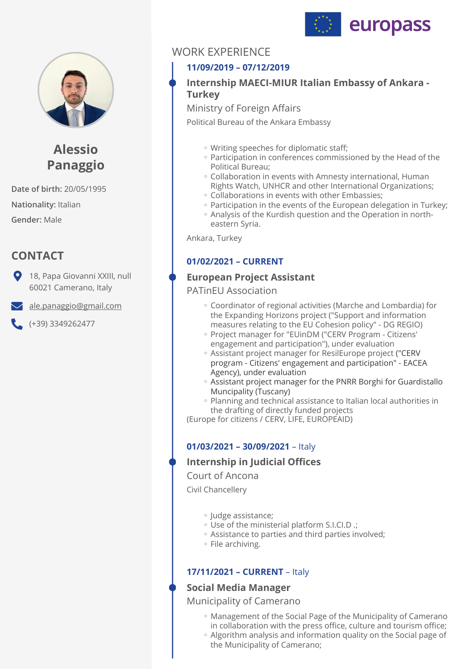



# **Alessio Panaggio**

**Date of birth:** 20/05/1995 **Nationality:** Italian **Gender:** Male

# **CONTACT**

**9** 18, Papa Giovanni XXIII, null 60021 Camerano, Italy

[ale.panaggio@gmail.com](mailto:ale.panaggio@gmail.com)

 $( +39)$  3349262477

# WORK EXPERIENCE

## **11/09/2019 – 07/12/2019**

### **Internship MAECI-MIUR Italian Embassy of Ankara - Turkey**

Ministry of Foreign Affairs

Political Bureau of the Ankara Embassy

- Writing speeches for diplomatic staff; ◦
- Participation in conferences commissioned by the Head of the Political Bureau;
- Collaboration in events with Amnesty international, Human Rights Watch, UNHCR and other International Organizations;
- Collaborations in events with other Embassies; ◦
- Participation in the events of the European delegation in Turkey;
- Analysis of the Kurdish question and the Operation in northeastern Syria.

Ankara, Turkey

### **01/02/2021 – CURRENT**

### **European Project Assistant**

PATinEU Association

- Coordinator of regional activities (Marche and Lombardia) for the Expanding Horizons project ("Support and information measures relating to the EU Cohesion policy" - DG REGIO)
- Project manager for "EUinDM ("CERV Program Citizens' engagement and participation"), under evaluation
- Assistant project manager for ResilEurope project ("CERV program - Citizens' engagement and participation" - EACEA Agency), under evaluation
- Assistant project manager for the PNRR Borghi for Guardistallo Muncipality (Tuscany)
- Planning and technical assistance to Italian local authorities in the drafting of directly funded projects

(Europe for citizens / CERV, LIFE, EUROPEAID)

### **01/03/2021 – 30/09/2021** – Italy

### **Internship in Judicial Offices**

Court of Ancona

Civil Chancellery

- Judge assistance; ◦
- Use of the ministerial platform S.I.CI.D .; ◦
- Assistance to parties and third parties involved; ◦
- File archiving. ◦

### **17/11/2021 – CURRENT** – Italy

### **Social Media Manager**

Municipality of Camerano

- Management of the Social Page of the Municipality of Camerano in collaboration with the press office, culture and tourism office;
- Algorithm analysis and information quality on the Social page of the Municipality of Camerano;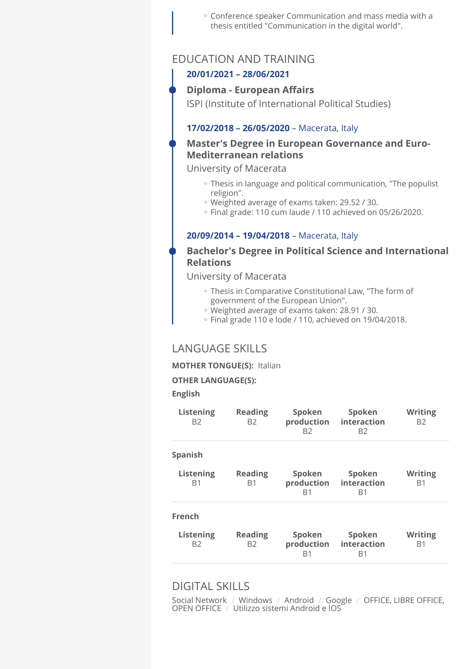Conference speaker Communication and mass media with a ◦ thesis entitled "Communication in the digital world".

### EDUCATION AND TRAINING

#### **20/01/2021 – 28/06/2021**

#### **Diploma - European Affairs**

ISPI (Institute of International Political Studies)

#### **17/02/2018 – 26/05/2020** – Macerata, Italy

### **Master's Degree in European Governance and Euro-Mediterranean relations**

University of Macerata

- Thesis in language and political communication, "The populist religion".
- Weighted average of exams taken: 29.52 / 30. ◦
- Final grade: 110 cum laude / 110 achieved on 05/26/2020. ◦

#### **20/09/2014 – 19/04/2018** – Macerata, Italy

### **Bachelor's Degree in Political Science and International Relations**

#### University of Macerata

- Thesis in Comparative Constitutional Law, "The form of government of the European Union".
- Weighted average of exams taken: 28.91 / 30. ◦
- Final grade 110 e lode / 110, achieved on 19/04/2018. ◦

### LANGUAGE SKILLS

#### **MOTHER TONGUE(S):** Italian

#### **OTHER LANGUAGE(S):**

#### **English**

| <b>Reading</b><br><b>B2</b>      | Spoken<br>production<br>B2             | Spoken<br>interaction<br>B2 | <b>Writing</b><br>B <sub>2</sub> |
|----------------------------------|----------------------------------------|-----------------------------|----------------------------------|
|                                  |                                        |                             |                                  |
| <b>Reading</b><br>B <sub>1</sub> | Spoken<br>R1                           | Spoken<br>interaction<br>R1 | <b>Writing</b><br>B <sub>1</sub> |
|                                  |                                        |                             |                                  |
| <b>Reading</b><br>B <sub>2</sub> | Spoken<br>production<br>R <sub>1</sub> | Spoken<br>interaction<br>B1 | <b>Writing</b><br>B <sub>1</sub> |
|                                  |                                        |                             | production                       |

## DIGITAL SKILLS

Social Network / Windows / Android / Google / OFFICE, LIBRE OFFICE, OPEN OFFICE / Utilizzo sistemi Android e IOS